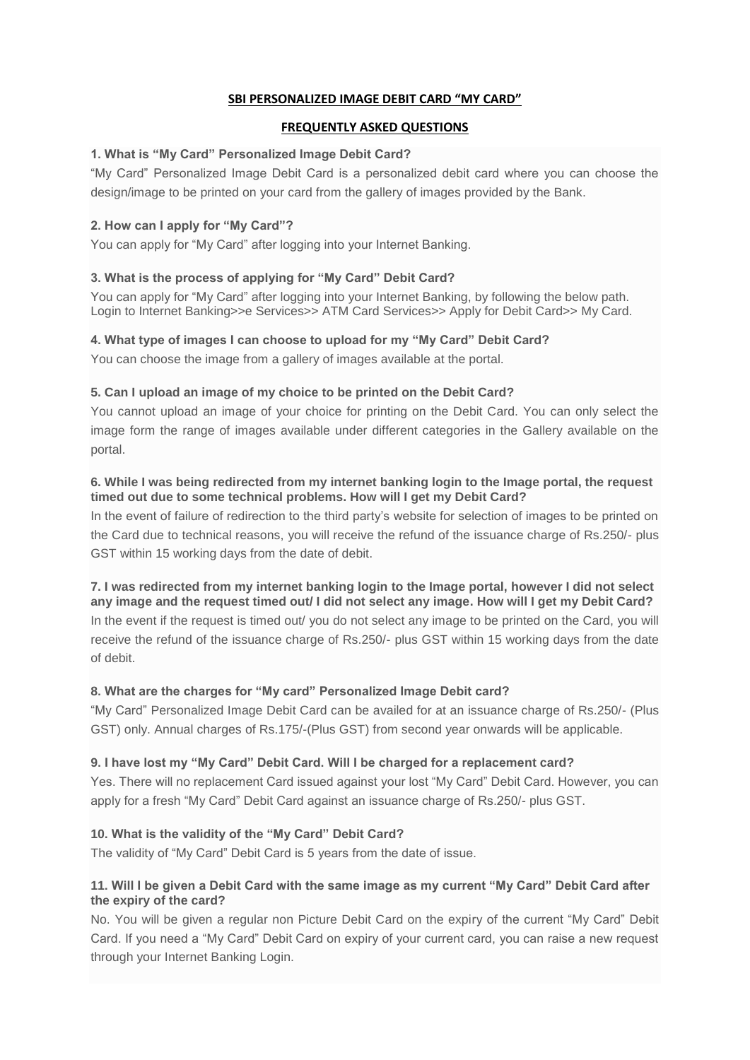## **SBI PERSONALIZED IMAGE DEBIT CARD "MY CARD"**

## **FREQUENTLY ASKED QUESTIONS**

## **1. What is "My Card" Personalized Image Debit Card?**

"My Card" Personalized Image Debit Card is a personalized debit card where you can choose the design/image to be printed on your card from the gallery of images provided by the Bank.

# **2. How can I apply for "My Card"?**

You can apply for "My Card" after logging into your Internet Banking.

# **3. What is the process of applying for "My Card" Debit Card?**

You can apply for "My Card" after logging into your Internet Banking, by following the below path. Login to Internet Banking>>e Services>> ATM Card Services>> Apply for Debit Card>> My Card.

### **4. What type of images I can choose to upload for my "My Card" Debit Card?**

You can choose the image from a gallery of images available at the portal.

### **5. Can I upload an image of my choice to be printed on the Debit Card?**

You cannot upload an image of your choice for printing on the Debit Card. You can only select the image form the range of images available under different categories in the Gallery available on the portal.

### **6. While I was being redirected from my internet banking login to the Image portal, the request timed out due to some technical problems. How will I get my Debit Card?**

In the event of failure of redirection to the third party's website for selection of images to be printed on the Card due to technical reasons, you will receive the refund of the issuance charge of Rs.250/- plus GST within 15 working days from the date of debit.

#### **7. I was redirected from my internet banking login to the Image portal, however I did not select any image and the request timed out/ I did not select any image. How will I get my Debit Card?**

In the event if the request is timed out/ you do not select any image to be printed on the Card, you will receive the refund of the issuance charge of Rs.250/- plus GST within 15 working days from the date of debit.

# **8. What are the charges for "My card" Personalized Image Debit card?**

"My Card" Personalized Image Debit Card can be availed for at an issuance charge of Rs.250/- (Plus GST) only. Annual charges of Rs.175/-(Plus GST) from second year onwards will be applicable.

# **9. I have lost my "My Card" Debit Card. Will I be charged for a replacement card?**

Yes. There will no replacement Card issued against your lost "My Card" Debit Card. However, you can apply for a fresh "My Card" Debit Card against an issuance charge of Rs.250/- plus GST.

#### **10. What is the validity of the "My Card" Debit Card?**

The validity of "My Card" Debit Card is 5 years from the date of issue.

### **11. Will I be given a Debit Card with the same image as my current "My Card" Debit Card after the expiry of the card?**

No. You will be given a regular non Picture Debit Card on the expiry of the current "My Card" Debit Card. If you need a "My Card" Debit Card on expiry of your current card, you can raise a new request through your Internet Banking Login.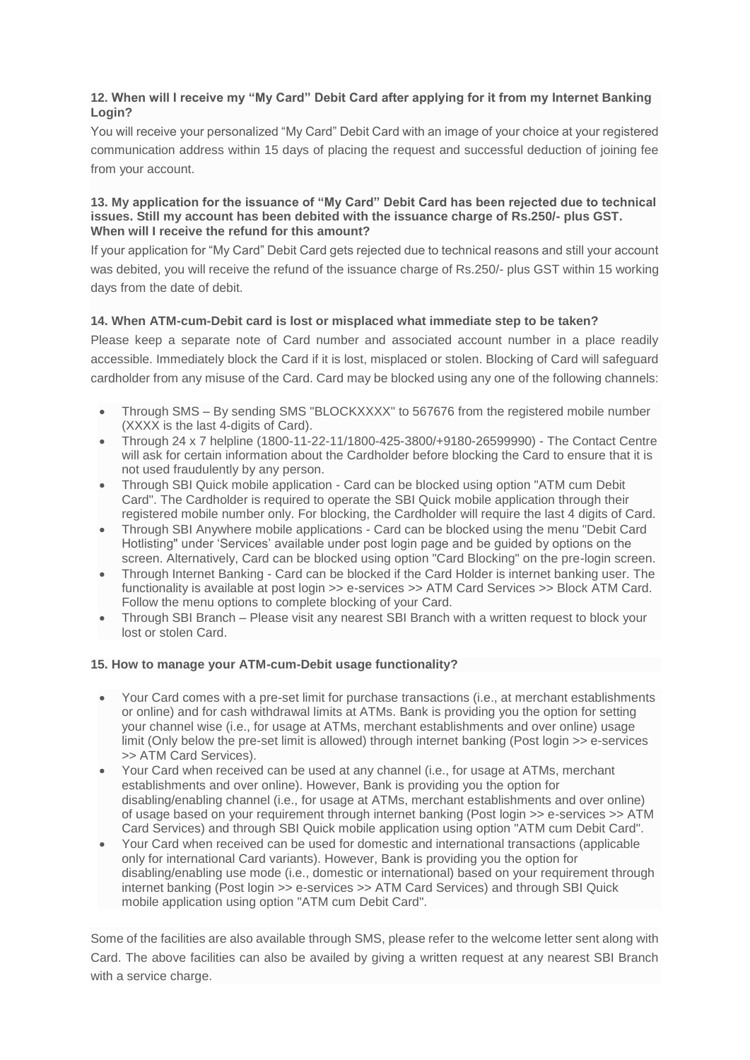# **12. When will I receive my "My Card" Debit Card after applying for it from my Internet Banking Login?**

You will receive your personalized "My Card" Debit Card with an image of your choice at your registered communication address within 15 days of placing the request and successful deduction of joining fee from your account.

#### **13. My application for the issuance of "My Card" Debit Card has been rejected due to technical issues. Still my account has been debited with the issuance charge of Rs.250/- plus GST. When will I receive the refund for this amount?**

If your application for "My Card" Debit Card gets rejected due to technical reasons and still your account was debited, you will receive the refund of the issuance charge of Rs.250/- plus GST within 15 working days from the date of debit.

# **14. When ATM-cum-Debit card is lost or misplaced what immediate step to be taken?**

Please keep a separate note of Card number and associated account number in a place readily accessible. Immediately block the Card if it is lost, misplaced or stolen. Blocking of Card will safeguard cardholder from any misuse of the Card. Card may be blocked using any one of the following channels:

- Through SMS By sending SMS "BLOCKXXXX" to 567676 from the registered mobile number (XXXX is the last 4-digits of Card).
- Through 24 x 7 helpline (1800-11-22-11/1800-425-3800/+9180-26599990) The Contact Centre will ask for certain information about the Cardholder before blocking the Card to ensure that it is not used fraudulently by any person.
- Through SBI Quick mobile application Card can be blocked using option "ATM cum Debit Card". The Cardholder is required to operate the SBI Quick mobile application through their registered mobile number only. For blocking, the Cardholder will require the last 4 digits of Card.
- Through SBI Anywhere mobile applications Card can be blocked using the menu "Debit Card Hotlisting" under 'Services' available under post login page and be guided by options on the screen. Alternatively, Card can be blocked using option "Card Blocking" on the pre-login screen.
- Through Internet Banking Card can be blocked if the Card Holder is internet banking user. The functionality is available at post login >> e-services >> ATM Card Services >> Block ATM Card. Follow the menu options to complete blocking of your Card.
- Through SBI Branch Please visit any nearest SBI Branch with a written request to block your lost or stolen Card.

#### **15. How to manage your ATM-cum-Debit usage functionality?**

- Your Card comes with a pre-set limit for purchase transactions (i.e., at merchant establishments or online) and for cash withdrawal limits at ATMs. Bank is providing you the option for setting your channel wise (i.e., for usage at ATMs, merchant establishments and over online) usage limit (Only below the pre-set limit is allowed) through internet banking (Post login >> e-services >> ATM Card Services).
- Your Card when received can be used at any channel (i.e., for usage at ATMs, merchant establishments and over online). However, Bank is providing you the option for disabling/enabling channel (i.e., for usage at ATMs, merchant establishments and over online) of usage based on your requirement through internet banking (Post login >> e-services >> ATM Card Services) and through SBI Quick mobile application using option "ATM cum Debit Card".
- Your Card when received can be used for domestic and international transactions (applicable only for international Card variants). However, Bank is providing you the option for disabling/enabling use mode (i.e., domestic or international) based on your requirement through internet banking (Post login >> e-services >> ATM Card Services) and through SBI Quick mobile application using option "ATM cum Debit Card".

Some of the facilities are also available through SMS, please refer to the welcome letter sent along with Card. The above facilities can also be availed by giving a written request at any nearest SBI Branch with a service charge.